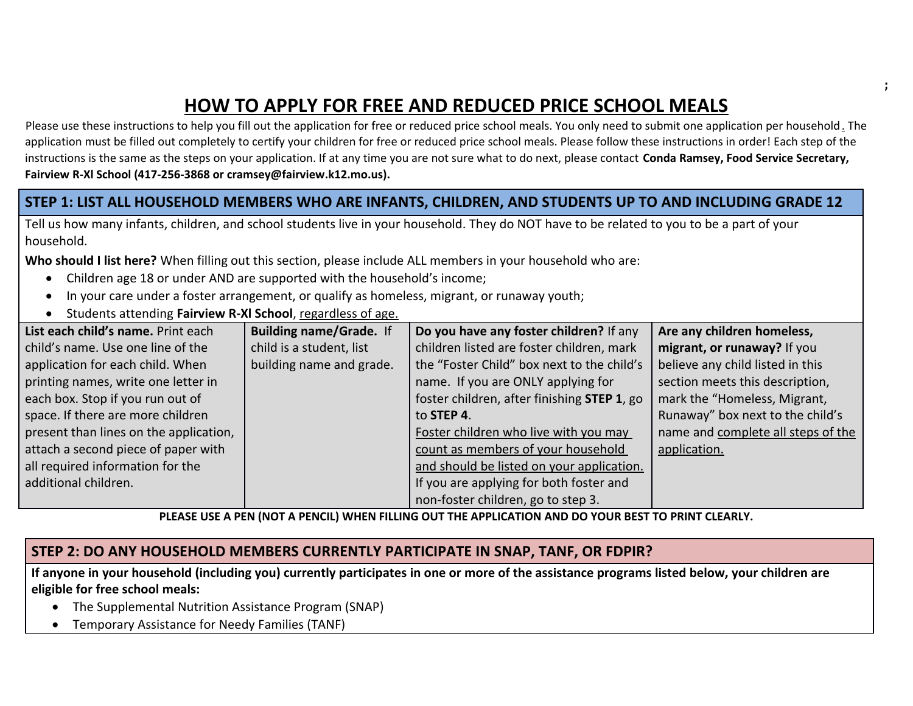## **HOW TO APPLY FOR FREE AND REDUCED PRICE SCHOOL MEALS**

**;**

Please use these instructions to help you fill out the application for free or reduced price school meals. You only need to submit one application per household. The application must be filled out completely to certify your children for free or reduced price school meals. Please follow these instructions in order! Each step of the instructions is the same as the steps on your application. If at any time you are not sure what to do next, please contact **Conda Ramsey, Food Service Secretary, Fairview R-Xl School (417-256-3868 or cramsey@fairview.k12.mo.us).** 

## **STEP 1: LIST ALL HOUSEHOLD MEMBERS WHO ARE INFANTS, CHILDREN, AND STUDENTS UP TO AND INCLUDING GRADE 12**

Tell us how many infants, children, and school students live in your household. They do NOT have to be related to you to be a part of your household.

**Who should I list here?** When filling out this section, please include ALL members in your household who are:

- Children age 18 or under AND are supported with the household's income;
- In your care under a foster arrangement, or qualify as homeless, migrant, or runaway youth;
- Students attending **Fairview R-Xl School**, regardless of age.

| List each child's name. Print each     | <b>Building name/Grade.</b> If | Do you have any foster children? If any     | Are any children homeless,         |
|----------------------------------------|--------------------------------|---------------------------------------------|------------------------------------|
| child's name. Use one line of the      | child is a student, list       | children listed are foster children, mark   | migrant, or runaway? If you        |
| application for each child. When       | building name and grade.       | the "Foster Child" box next to the child's  | believe any child listed in this   |
| printing names, write one letter in    |                                | name. If you are ONLY applying for          | section meets this description,    |
| each box. Stop if you run out of       |                                | foster children, after finishing STEP 1, go | mark the "Homeless, Migrant,       |
| space. If there are more children      |                                | to STEP 4.                                  | Runaway" box next to the child's   |
| present than lines on the application, |                                | Foster children who live with you may       | name and complete all steps of the |
| attach a second piece of paper with    |                                | count as members of your household          | application.                       |
| all required information for the       |                                | and should be listed on your application.   |                                    |
| additional children.                   |                                | If you are applying for both foster and     |                                    |
|                                        |                                | non-foster children, go to step 3.          |                                    |

**PLEASE USE A PEN (NOT A PENCIL) WHEN FILLING OUT THE APPLICATION AND DO YOUR BEST TO PRINT CLEARLY.**

## **STEP 2: DO ANY HOUSEHOLD MEMBERS CURRENTLY PARTICIPATE IN SNAP, TANF, OR FDPIR?**

**If anyone in your household (including you) currently participates in one or more of the assistance programs listed below, your children are eligible for free school meals:**

- The Supplemental Nutrition Assistance Program (SNAP)
- Temporary Assistance for Needy Families (TANF)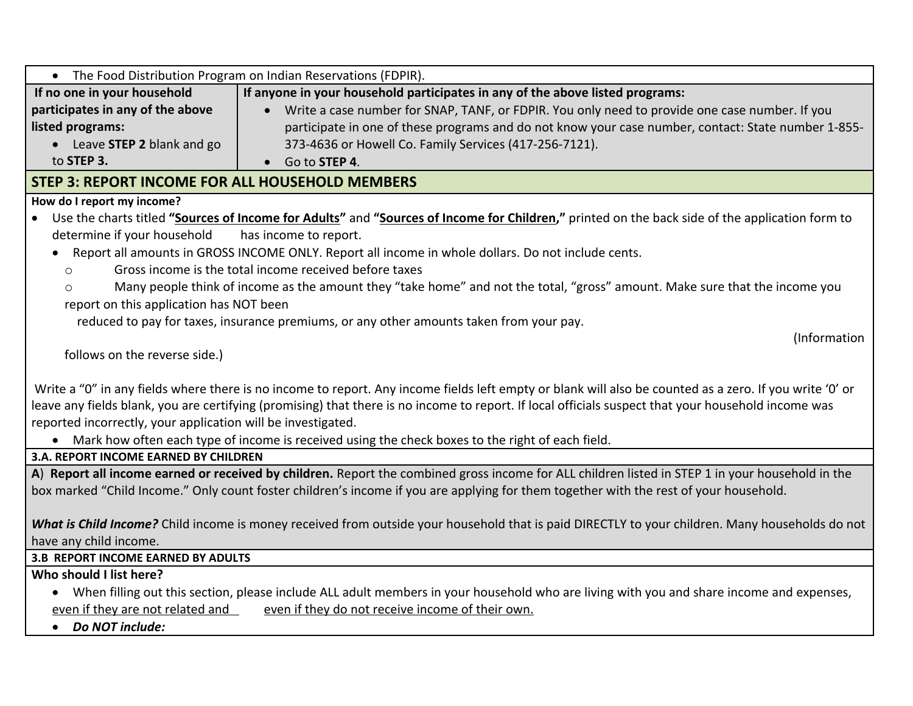| The Food Distribution Program on Indian Reservations (FDPIR).<br>$\bullet$                                                                      |                                                                                                                                                         |  |
|-------------------------------------------------------------------------------------------------------------------------------------------------|---------------------------------------------------------------------------------------------------------------------------------------------------------|--|
| If no one in your household                                                                                                                     | If anyone in your household participates in any of the above listed programs:                                                                           |  |
| participates in any of the above                                                                                                                | Write a case number for SNAP, TANF, or FDPIR. You only need to provide one case number. If you                                                          |  |
| listed programs:                                                                                                                                | participate in one of these programs and do not know your case number, contact: State number 1-855-                                                     |  |
| Leave <b>STEP 2</b> blank and go                                                                                                                | 373-4636 or Howell Co. Family Services (417-256-7121).                                                                                                  |  |
| to STEP 3.                                                                                                                                      | • Go to STEP 4.                                                                                                                                         |  |
| <b>STEP 3: REPORT INCOME FOR ALL HOUSEHOLD MEMBERS</b>                                                                                          |                                                                                                                                                         |  |
| How do I report my income?                                                                                                                      |                                                                                                                                                         |  |
|                                                                                                                                                 | Use the charts titled "Sources of Income for Adults" and "Sources of Income for Children," printed on the back side of the application form to          |  |
| determine if your household                                                                                                                     | has income to report.                                                                                                                                   |  |
|                                                                                                                                                 | Report all amounts in GROSS INCOME ONLY. Report all income in whole dollars. Do not include cents.                                                      |  |
| $\circ$                                                                                                                                         | Gross income is the total income received before taxes                                                                                                  |  |
| $\circ$                                                                                                                                         | Many people think of income as the amount they "take home" and not the total, "gross" amount. Make sure that the income you                             |  |
| report on this application has NOT been                                                                                                         |                                                                                                                                                         |  |
|                                                                                                                                                 | reduced to pay for taxes, insurance premiums, or any other amounts taken from your pay.                                                                 |  |
|                                                                                                                                                 | (Information                                                                                                                                            |  |
| follows on the reverse side.)                                                                                                                   |                                                                                                                                                         |  |
|                                                                                                                                                 |                                                                                                                                                         |  |
|                                                                                                                                                 | Write a "0" in any fields where there is no income to report. Any income fields left empty or blank will also be counted as a zero. If you write '0' or |  |
|                                                                                                                                                 | leave any fields blank, you are certifying (promising) that there is no income to report. If local officials suspect that your household income was     |  |
| reported incorrectly, your application will be investigated.                                                                                    |                                                                                                                                                         |  |
|                                                                                                                                                 | • Mark how often each type of income is received using the check boxes to the right of each field.                                                      |  |
| 3.A. REPORT INCOME EARNED BY CHILDREN                                                                                                           |                                                                                                                                                         |  |
|                                                                                                                                                 | A) Report all income earned or received by children. Report the combined gross income for ALL children listed in STEP 1 in your household in the        |  |
| box marked "Child Income." Only count foster children's income if you are applying for them together with the rest of your household.           |                                                                                                                                                         |  |
|                                                                                                                                                 |                                                                                                                                                         |  |
| What is Child Income? Child income is money received from outside your household that is paid DIRECTLY to your children. Many households do not |                                                                                                                                                         |  |
| have any child income.                                                                                                                          |                                                                                                                                                         |  |
| <b>3.B REPORT INCOME EARNED BY ADULTS</b>                                                                                                       |                                                                                                                                                         |  |
| Who should I list here?                                                                                                                         |                                                                                                                                                         |  |
| When filling out this section, please include ALL adult members in your household who are living with you and share income and expenses,        |                                                                                                                                                         |  |
| even if they are not related and<br>even if they do not receive income of their own.                                                            |                                                                                                                                                         |  |
| Do NOT include:                                                                                                                                 |                                                                                                                                                         |  |
|                                                                                                                                                 |                                                                                                                                                         |  |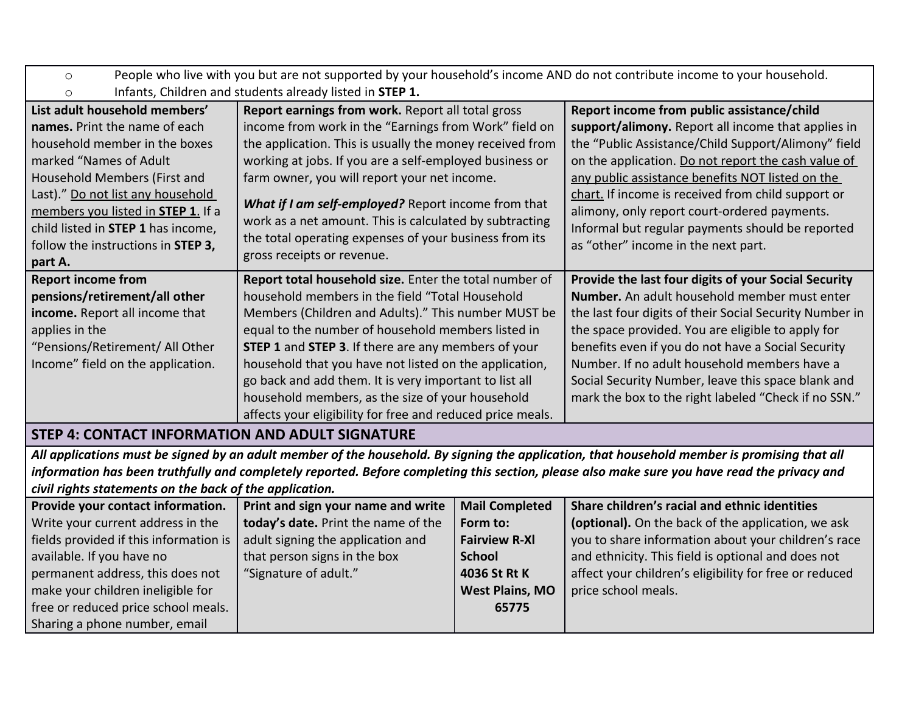| People who live with you but are not supported by your household's income AND do not contribute income to your household.<br>$\circ$         |                                                                                                                   |                        |                                                         |  |
|----------------------------------------------------------------------------------------------------------------------------------------------|-------------------------------------------------------------------------------------------------------------------|------------------------|---------------------------------------------------------|--|
| Infants, Children and students already listed in STEP 1.<br>$\circ$                                                                          |                                                                                                                   |                        |                                                         |  |
| List adult household members'                                                                                                                | Report earnings from work. Report all total gross                                                                 |                        | Report income from public assistance/child              |  |
| names. Print the name of each                                                                                                                | income from work in the "Earnings from Work" field on                                                             |                        | support/alimony. Report all income that applies in      |  |
| household member in the boxes                                                                                                                | the application. This is usually the money received from                                                          |                        | the "Public Assistance/Child Support/Alimony" field     |  |
| marked "Names of Adult"                                                                                                                      | working at jobs. If you are a self-employed business or                                                           |                        | on the application. Do not report the cash value of     |  |
| Household Members (First and                                                                                                                 | farm owner, you will report your net income.                                                                      |                        | any public assistance benefits NOT listed on the        |  |
| Last)." Do not list any household                                                                                                            |                                                                                                                   |                        | chart. If income is received from child support or      |  |
| members you listed in <b>STEP 1</b> . If a                                                                                                   | What if I am self-employed? Report income from that                                                               |                        | alimony, only report court-ordered payments.            |  |
| child listed in STEP 1 has income,                                                                                                           | work as a net amount. This is calculated by subtracting<br>the total operating expenses of your business from its |                        | Informal but regular payments should be reported        |  |
| follow the instructions in STEP 3,                                                                                                           | gross receipts or revenue.                                                                                        |                        | as "other" income in the next part.                     |  |
| part A.                                                                                                                                      |                                                                                                                   |                        |                                                         |  |
| <b>Report income from</b>                                                                                                                    | Report total household size. Enter the total number of                                                            |                        | Provide the last four digits of your Social Security    |  |
| pensions/retirement/all other                                                                                                                | household members in the field "Total Household                                                                   |                        | Number. An adult household member must enter            |  |
| income. Report all income that                                                                                                               | Members (Children and Adults)." This number MUST be                                                               |                        | the last four digits of their Social Security Number in |  |
| applies in the                                                                                                                               | equal to the number of household members listed in                                                                |                        | the space provided. You are eligible to apply for       |  |
| "Pensions/Retirement/ All Other                                                                                                              | STEP 1 and STEP 3. If there are any members of your                                                               |                        | benefits even if you do not have a Social Security      |  |
| Income" field on the application.                                                                                                            | household that you have not listed on the application,                                                            |                        | Number. If no adult household members have a            |  |
|                                                                                                                                              | go back and add them. It is very important to list all                                                            |                        | Social Security Number, leave this space blank and      |  |
|                                                                                                                                              | household members, as the size of your household                                                                  |                        | mark the box to the right labeled "Check if no SSN."    |  |
|                                                                                                                                              | affects your eligibility for free and reduced price meals.                                                        |                        |                                                         |  |
| <b>STEP 4: CONTACT INFORMATION AND ADULT SIGNATURE</b>                                                                                       |                                                                                                                   |                        |                                                         |  |
| All applications must be signed by an adult member of the household. By signing the application, that household member is promising that all |                                                                                                                   |                        |                                                         |  |
| information has been truthfully and completely reported. Before completing this section, please also make sure you have read the privacy and |                                                                                                                   |                        |                                                         |  |
| civil rights statements on the back of the application.                                                                                      |                                                                                                                   |                        |                                                         |  |
| Provide your contact information.                                                                                                            | Print and sign your name and write                                                                                | <b>Mail Completed</b>  | Share children's racial and ethnic identities           |  |
| Write your current address in the                                                                                                            | today's date. Print the name of the                                                                               | Form to:               | (optional). On the back of the application, we ask      |  |
| fields provided if this information is                                                                                                       | adult signing the application and                                                                                 | <b>Fairview R-XI</b>   | you to share information about your children's race     |  |
| available. If you have no                                                                                                                    | that person signs in the box                                                                                      | <b>School</b>          | and ethnicity. This field is optional and does not      |  |
| permanent address, this does not                                                                                                             | "Signature of adult."                                                                                             | 4036 St Rt K           | affect your children's eligibility for free or reduced  |  |
| make your children ineligible for                                                                                                            |                                                                                                                   | <b>West Plains, MO</b> | price school meals.                                     |  |

 **65775**

free or reduced price school meals. Sharing a phone number, email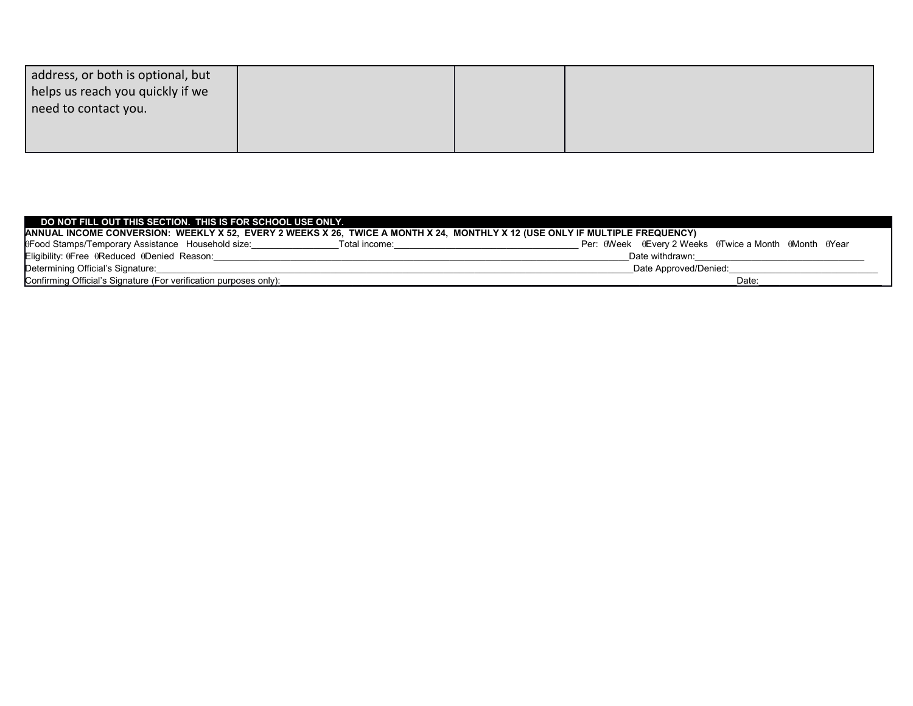| address, or both is optional, but |  |  |
|-----------------------------------|--|--|
| helps us reach you quickly if we  |  |  |
| need to contact you.              |  |  |
|                                   |  |  |
|                                   |  |  |

## **DO NOT FILL OUT THIS SECTION. THIS IS FOR SCHOOL USE ONLY.**

**ANNUAL INCOME CONVERSION: WEEKLY X 52, EVERY 2 WEEKS X 26, TWICE A MONTH X 24, MONTHLY X 12 (USE ONLY IF MULTIPLE FREQUENCY)**

 Food Stamps/Temporary Assistance Household size:\_\_\_\_\_\_\_\_\_\_\_\_\_\_\_\_\_Total income:\_\_\_\_\_\_\_\_\_\_\_\_\_\_\_\_\_\_\_\_\_\_\_\_\_\_\_\_\_\_\_\_\_\_\_\_ Per: Week Every 2 Weeks Twice a Month Month Year Eligibility: Free Reduced Denied Reason:\_\_\_\_\_\_\_\_\_\_\_\_\_\_\_\_\_\_\_\_\_\_\_\_\_\_\_\_\_\_\_\_\_\_\_\_\_\_\_\_\_\_\_\_\_\_\_\_\_\_\_\_\_\_\_\_\_\_\_\_\_\_\_\_\_\_\_\_\_\_\_\_\_\_\_\_\_\_\_\_\_Date withdrawn:\_\_\_\_\_\_\_\_\_\_\_\_\_\_\_\_\_\_\_\_\_\_\_\_\_\_\_\_\_\_\_\_\_

Determining Official's Signature:

Confirming Official's Signature (For verification purposes only): Date: Deseted and the confirming Official's Signature (For verification purposes only):